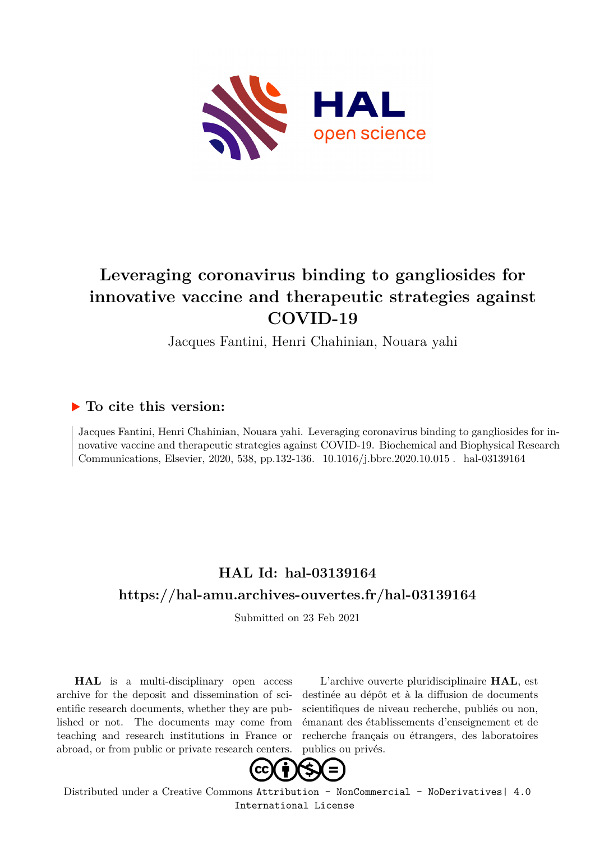

# **Leveraging coronavirus binding to gangliosides for innovative vaccine and therapeutic strategies against COVID-19**

Jacques Fantini, Henri Chahinian, Nouara yahi

## **To cite this version:**

Jacques Fantini, Henri Chahinian, Nouara yahi. Leveraging coronavirus binding to gangliosides for innovative vaccine and therapeutic strategies against COVID-19. Biochemical and Biophysical Research Communications, Elsevier, 2020, 538, pp.132-136. 10.1016/j.bbrc.2020.10.015 . hal-03139164

## **HAL Id: hal-03139164 <https://hal-amu.archives-ouvertes.fr/hal-03139164>**

Submitted on 23 Feb 2021

**HAL** is a multi-disciplinary open access archive for the deposit and dissemination of scientific research documents, whether they are published or not. The documents may come from teaching and research institutions in France or abroad, or from public or private research centers.

L'archive ouverte pluridisciplinaire **HAL**, est destinée au dépôt et à la diffusion de documents scientifiques de niveau recherche, publiés ou non, émanant des établissements d'enseignement et de recherche français ou étrangers, des laboratoires publics ou privés.



Distributed under a Creative Commons [Attribution - NonCommercial - NoDerivatives| 4.0](http://creativecommons.org/licenses/by-nc-nd/4.0/) [International License](http://creativecommons.org/licenses/by-nc-nd/4.0/)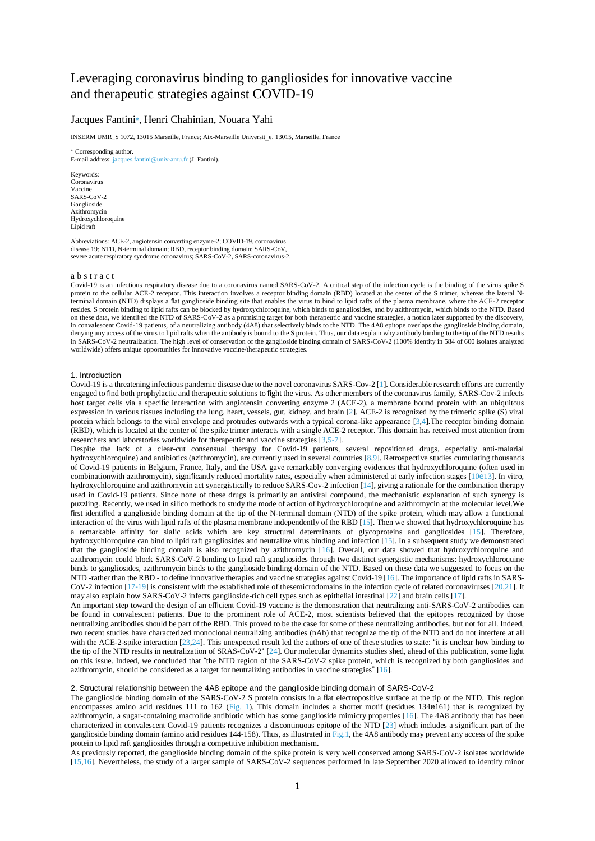### Leveraging coronavirus binding to gangliosides for innovative vaccine and therapeutic strategies against COVID-19

#### Jacques Fantini\*, Henri Chahinian, Nouara Yahi

INSERM UMR\_S 1072, 13015 Marseille, France; Aix-Marseille Universit\_e, 13015, Marseille, France

\* Corresponding author. E-mail address: jacques.fantini@univ-amu.fr (J. Fantini).

Keywords: Coronavirus Vaccine SARS-CoV-2 Ganglioside Azithromycin Hydroxychloroquine Lipid raft

Abbreviations: ACE-2, angiotensin converting enzyme-2; COVID-19, coronavirus disease 19; NTD, N-terminal domain; RBD, receptor binding domain; SARS-CoV, severe acute respiratory syndrome coronavirus; SARS-CoV-2, SARS-coronavirus-2.

#### a b s t r a c t

Covid-19 is an infectious respiratory disease due to a coronavirus named SARS-CoV-2. A critical step of the infection cycle is the binding of the virus spike S protein to the cellular ACE-2 receptor. This interaction involves a receptor binding domain (RBD) located at the center of the S trimer, whereas the lateral N-<br>terminal domain (NTD) displays a flat ganglioside binding site resides. S protein binding to lipid rafts can be blocked by hydroxychloroquine, which binds to gangliosides, and by azithromycin, which binds to the NTD. Based on these data, we identified the NTD of SARS-CoV-2 as a promising target for both therapeutic and vaccine strategies, a notion later supported by the discovery, in convalescent Covid-19 patients, of a neutralizing antibody (4A8) that selectively binds to the NTD. The 4A8 epitope overlaps the ganglioside binding domain, denying any access of the virus to lipid rafts when the antibody is bound to the S protein. Thus, our data explain why antibody binding to the tip of the NTD results in SARS-CoV-2 neutralization. The high level of conservation of the ganglioside binding domain of SARS-CoV-2 (100% identity in 584 of 600 isolates analyzed worldwide) offers unique opportunities for innovative vaccine/therapeutic strategies.

#### 1. Introduction

Covid-19 is a threatening infectious pandemic disease due to the novel coronavirus SARS-Cov-2 [1]. Considerable research efforts are currently engaged to find both prophylactic and therapeutic solutions to fight the virus. As other members of the coronavirus family, SARS-Cov-2 infects host target cells via a specific interaction with angiotensin converting enzyme 2 (ACE-2), a membrane bound protein with an ubiquitous expression in various tissues including the lung, heart, vessels, gut, kidney, and brain [2]. ACE-2 is recognized by the trimeric spike (S) viral protein which belongs to the viral envelope and protrudes outwards with a typical corona-like appearance [3,4].The receptor binding domain (RBD), which is located at the center of the spike trimer interacts with a single ACE-2 receptor. This domain has received most attention from researchers and laboratories worldwide for therapeutic and vaccine strategies [3,5-7].

Despite the lack of a clear-cut consensual therapy for Covid-19 patients, several repositioned drugs, especially anti-malarial hydroxychloroquine) and antibiotics (azithromycin), are currently used in several countries [8,9]. Retrospective studies cumulating thousands of Covid-19 patients in Belgium, France, Italy, and the USA gave remarkably converging evidences that hydroxychloroquine (often used in combinationwith azithromycin), significantly reduced mortality rates, especially when administered at early infection stages [10e13]. In vitro, hydroxychloroquine and azithromycin act synergistically to reduce SARS-Cov-2 infection [14], giving a rationale for the combination therapy used in Covid-19 patients. Since none of these drugs is primarily an antiviral compound, the mechanistic explanation of such synergy is puzzling. Recently, we used in silico methods to study the mode of action of hydroxychloroquine and azithromycin at the molecular level.We first identified a ganglioside binding domain at the tip of the N-terminal domain (NTD) of the spike protein, which may allow a functional interaction of the virus with lipid rafts of the plasma membrane independently of the RBD [15]. Then we showed that hydroxychloroquine has a remarkable affinity for sialic acids which are key structural determinants of glycoproteins and gangliosides [15]. Therefore, hydroxychloroquine can bind to lipid raft gangliosides and neutralize virus binding and infection [15]. In a subsequent study we demonstrated that the ganglioside binding domain is also recognized by azithromycin [16]. Overall, our data showed that hydroxychloroquine and azithromycin could block SARS-CoV-2 binding to lipid raft gangliosides through two distinct synergistic mechanisms: hydroxychloroquine binds to gangliosides, azithromycin binds to the ganglioside binding domain of the NTD. Based on these data we suggested to focus on the NTD -rather than the RBD - to define innovative therapies and vaccine strategies against Covid-19 [16]. The importance of lipid rafts in SARS-CoV-2 infection [17-19] is consistent with the established role of thesemicrodomains in the infection cycle of related coronaviruses [20,21]. It may also explain how SARS-CoV-2 infects ganglioside-rich cell types such as epithelial intestinal [22] and brain cells [17].

An important step toward the design of an efficient Covid-19 vaccine is the demonstration that neutralizing anti-SARS-CoV-2 antibodies can be found in convalescent patients. Due to the prominent role of ACE-2, most scientists believed that the epitopes recognized by those neutralizing antibodies should be part of the RBD. This proved to be the case for some of these neutralizing antibodies, but not for all. Indeed, two recent studies have characterized monoclonal neutralizing antibodies (nAb) that recognize the tip of the NTD and do not interfere at all with the ACE-2-spike interaction [23,24]. This unexpected result led the authors of one of these studies to state: "it is unclear how binding to the tip of the NTD results in neutralization of SRAS-CoV-2" [24]. Our molecular dynamics studies shed, ahead of this publication, some light on this issue. Indeed, we concluded that "the NTD region of the SARS-CoV-2 spike protein, which is recognized by both gangliosides and azithromycin, should be considered as a target for neutralizing antibodies in vaccine strategies" [16].

#### 2. Structural relationship between the 4A8 epitope and the ganglioside binding domain of SARS-CoV-2

The ganglioside binding domain of the SARS-CoV-2 S protein consists in a flat electropositive surface at the tip of the NTD. This region encompasses amino acid residues 111 to 162 (Fig. 1). This domain includes a shorter motif (residues 134e161) that is recognized by azithromycin, a sugar-containing macrolide antibiotic which has some ganglioside mimicry properties [16]. The 4A8 antibody that has been characterized in convalescent Covid-19 patients recognizes a discontinuous epitope of the NTD [23] which includes a significant part of the ganglioside binding domain (amino acid residues 144-158). Thus, as illustrated in  $Fig.1$ , the 4A8 antibody may prevent any access of the spike protein to lipid raft gangliosides through a competitive inhibition mechanism.

As previously reported, the ganglioside binding domain of the spike protein is very well conserved among SARS-CoV-2 isolates worldwide [15,16]. Nevertheless, the study of a larger sample of SARS-CoV-2 sequences performed in late September 2020 allowed to identify minor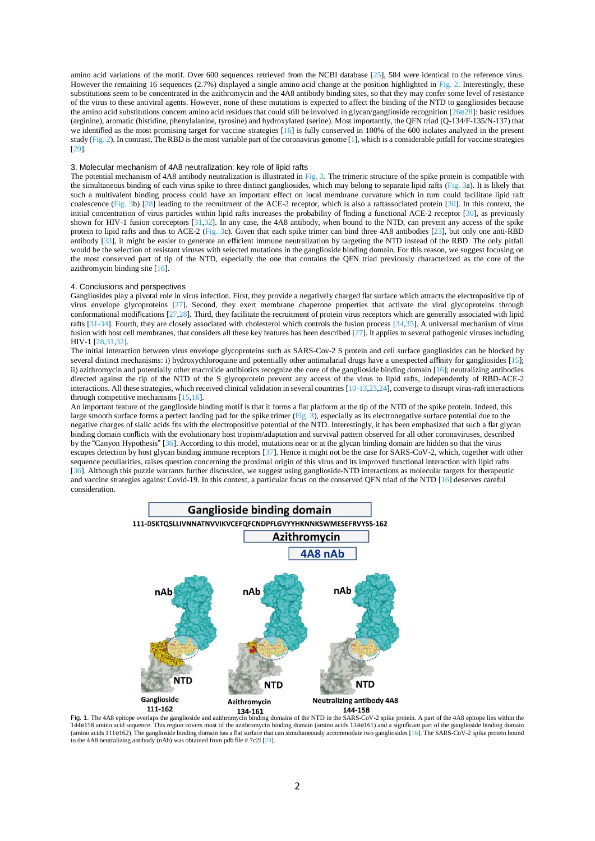amino acid variations of the motif. Over 600 sequences retrieved from the NCBI database [25], 584 were identical to the reference virus. However the remaining 16 sequences (2.7%) displayed a single amino acid change at the position highlighted in Fig. 2. Interestingly, these substitutions seem to be concentrated in the azithromycin and the 4A8 antibody binding sites, so that they may confer some level of resistance of the virus to these antiviral agents. However, none of these mutations is expected to affect the binding of the NTD to gangliosides because the amino acid substitutions concern amino acid residues that could still be involved in glycan/ganglioside recognition [26e28]: basic residues (arginine), aromatic (histidine, phenylalanine, tyrosine) and hydroxylated (serine). Most importantly, the QFN triad (Q-134/F-135/N-137) that we identified as the most promising target for vaccine strategies [16] is fully conserved in 100% of the 600 isolates analyzed in the present study (Fig. 2). In contrast, The RBD is the most variable part of the coronavirus genome [1], which is a considerable pitfall for vaccine strategies [29].

#### 3. Molecular mechanism of 4A8 neutralization: key role of lipid rafts

The potential mechanism of 4A8 antibody neutralization is illustrated in Fig. 3. The trimeric structure of the spike protein is compatible with the simultaneous binding of each virus spike to three distinct gangliosides, which may belong to separate lipid rafts (Fig. 3a). It is likely that such a multivalent binding process could have an important effect on local membrane curvature which in turn could facilitate lipid raft coalescence (Fig. 3b) [28] leading to the recruitment of the ACE-2 receptor, which is also a raftassociated protein [30]. In this context, the initial concentration of virus particles within lipid rafts increases the probability of finding a functional ACE-2 receptor [30], as previously shown for HIV-1 fusion coreceptors [31,32]. In any case, the 4A8 antibody, when bound to the NTD, can prevent any access of the spike protein to lipid rafts and thus to ACE-2 (Fig. 3c). Given that each spike trimer can bind three 4A8 antibodies [23], but only one anti-RBD antibody [33], it might be easier to generate an efficient immune neutralization by targeting the NTD instead of the RBD. The only pitfall would be the selection of resistant viruses with selected mutations in the ganglioside binding domain. For this reason, we suggest focusing on the most conserved part of tip of the NTD, especially the one that contains the QFN triad previously characterized as the core of the azithromycin binding site [16].

#### 4. Conclusions and perspectives

Gangliosides play a pivotal role in virus infection. First, they provide a negatively charged flat surface which attracts the electropositive tip of virus envelope glycoproteins [27]. Second, they exert membrane chaperone properties that activate the viral glycoproteins through conformational modifications [27,28]. Third, they facilitate the recruitment of protein virus receptors which are generally associated with lipid rafts [31-34]. Fourth, they are closely associated with cholesterol which controls the fusion process [34,35]. A universal mechanism of virus fusion with host cell membranes, that considers all these key features has been described [27]. It applies to several pathogenic viruses including HIV-1 [28,31,32].

The initial interaction between virus envelope glycoproteins such as SARS-Cov-2 S protein and cell surface gangliosides can be blocked by several distinct mechanisms: i) hydroxychloroquine and potentially other antimalarial drugs have a unexpected affinity for gangliosides [15]; ii) azithromycin and potentially other macrolide antibiotics recognize the core of the ganglioside binding domain [16]; neutralizing antibodies directed against the tip of the NTD of the S glycoprotein prevent any access of the virus to lipid rafts, independently of RBD-ACE-2 interactions. All these strategies, which received clinical validation in several countries [10-13,23,24], converge to disrupt virus-raft interactions through competitive mechanisms [15,16].

An important feature of the ganglioside binding motif is that it forms a flat platform at the tip of the NTD of the spike protein. Indeed, this large smooth surface forms a perfect landing pad for the spike trimer (Fig. 3), especially as its electronegative surface potential due to the negative charges of sialic acids fits with the electropositive potential of the NTD. Interestingly, it has been emphasized that such a flat glycan binding domain conflicts with the evolutionary host tropism/adaptation and survival pattern observed for all other coronaviruses, described by the "Canyon Hypothesis" [36]. According to this model, mutations near or at the glycan binding domain are hidden so that the virus escapes detection by host glycan binding immune receptors [37]. Hence it might not be the case for SARS-CoV-2, which, together with other sequence peculiarities, raises question concerning the proximal origin of this virus and its improved functional interaction with lipid rafts [36]. Although this puzzle warrants further discussion, we suggest using ganglioside-NTD interactions as molecular targets for therapeutic and vaccine strategies against Covid-19. In this context, a particular focus on the conserved QFN triad of the NTD [16] deserves careful consideration.



<sup>11-102</sup> 134-161<br>Fig. 1. The 4A8 epitope overlaps the ganglioside and azithromycin binding domains of the NTD in the SARS-CoV-2 spike protein. A part of the 4A8 epitope lies within the 144e158 amino acid sequence. This region covers most of the azithromycin binding domain (amino acids 134e161) and a significant part of the ganglioside binding domain (amino acids 111e162). The ganglioside binding domain has a flat surface that can simultaneously accommodate two gangliosides [16]. The SARS-CoV-2 spike protein bound<br>to the 4A8 neutralizing antibody (nAb) was obtained fro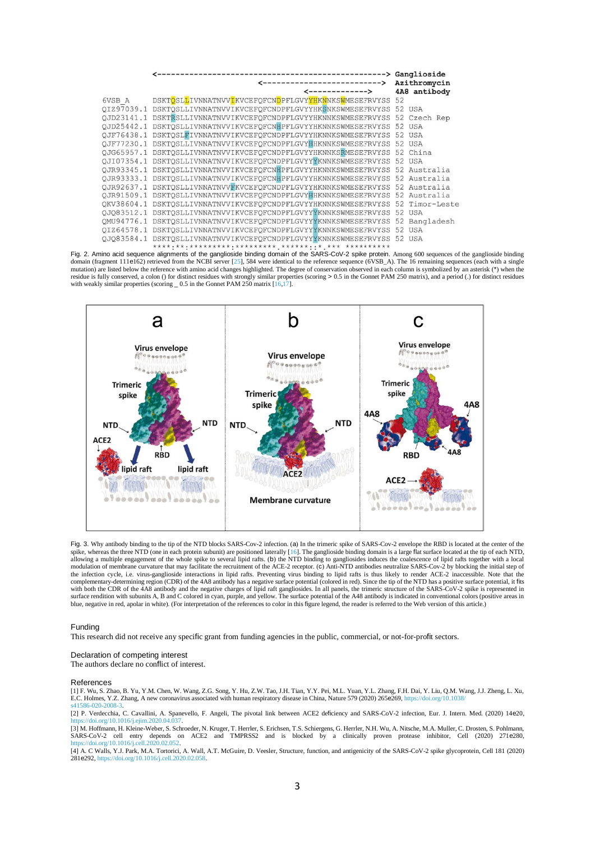|            | <---------------------------->                                  | Azithromycin |              |
|------------|-----------------------------------------------------------------|--------------|--------------|
|            | $\leftarrow$ ------------>                                      |              | 4A8 antibody |
| 6VSB A     | DSKTOSLLIVNNATNVVIKVCEFOFCNDPFLGVYYHKNNKSWMESEFRVYSS            | 52           |              |
|            | OIZ97039.1 DSKTOSLLIVNNATNVVIKVCEFOFCNDPFLGVYYHKSNKSWMESEFRVYSS |              | 52 USA       |
| OJD23141.1 | DSKTRSLLIVNNATNVVIKVCEFOFCNDPFLGVYYHKNNKSWMESEFRVYSS            | 52           | Czech Rep    |
| OJD25442.1 | DSKTOSLLIVNNATNVVIKVCEFOFCNHPFLGVYYHKNNKSWMESEFRVYSS            | 52           | USA          |
| OJF76438.1 | DSKTOSLFIVNNATNVVIKVCEFOFCNDPFLGVYYHKNNKSWMESEFRVYSS            |              | 52 USA       |
| OJF77230.1 | DSKTOSLLIVNNATNVVIKVCEFOFCNDPFLGVYHHKNNKSWMESEFRVYSS            |              | 52 USA       |
|            | OJG65957.1 DSKTOSLLIVNNATNVVIKVCEFOFCNDPFLGVYYHKNNKSRMESEFRVYSS | 52           | China        |
| OJI07354.1 | DSKTOSLLIVNNATNVVIKVCEFOFCNDPFLGVYYYKNNKSWMESEFRVYSS            | 52           | <b>USA</b>   |
| OJR93345.1 | DSKTOSLLIVNNATNVVIKVCEFOFCNHPFLGVYYHKNNKSWMESEFRVYSS            | 52           | Australia    |
|            | OJR93333.1 DSKTOSLLIVNNATNVVIKVCEFOFCNHPFLGVYYHKNNKSWMESEFRVYSS |              | 52 Australia |
|            | OJR92637.1 DSKTOSLLIVNNATNVVFKVCEFOFCNDPFLGVYYHKNNKSWMESEFRVYSS |              | 52 Australia |
|            | OJR91509.1 DSKTOSLLIVNNATNVVIKVCEFOFCNDPFLGVYHHKNNKSWMESEFRVYSS | 52           | Australia    |
| OKV38604.1 | DSKTOSLLIVNNATNVVIKVCEFOFCNDPFLGVYYHKNNKSWMESEFRVYSS            | 52           | Timor-Leste  |
| OJ083512.1 | DSKTOSLLIVNNATNVVIKVCEFOFCNDPFLGVYYYKNNKSWMESEFRVYSS            |              | 52 USA       |
| OMU94776.1 | DSKTOSLLIVNNATNVVIKVCEFOFCNDPFLGVYYYKNNKSWMESEFRVYSS            | 52           | Bangladesh   |
| OIZ64578.1 | DSKTOSLLIVNNATNVVIKVCEFOFCNDPFLGVYYYKNNKSWMESEFRVYSS            | 52           | <b>USA</b>   |
|            | OJO83584.1 DSKTOSLLIVNNATNVVIKVCEFOFCNDPFLGVYYYKNNKSWMESEFRVYSS | 52           | <b>USA</b>   |
|            |                                                                 |              |              |

Fig. 2. Amino acid sequence alignments of the ganglioside binding domain of the SARS-CoV-2 spike protein. Among 600 sequences of the ganglioside binding domain (fragment 111e162) retrieved from the NCBI server [25], 584 were identical to the reference sequence (6VSB\_A). The 16 remaining sequences (each with a single<br>mutation) are listed below the reference with amino acid residue is fully conserved, a colon () for distinct residues with strongly similar properties (scoring > 0.5 in the Gonnet PAM 250 matrix), and a period (.) for distinct residues with weakly similar properties (scoring \_ 0



Fig. 3. Why antibody binding to the tip of the NTD blocks SARS-Cov-2 infection. (a) In the trimeric spike of SARS-Cov-2 envelope the RBD is located at the center of the spike, whereas the three NTD (one in each protein subunit) are positioned laterally [16]. The ganglioside binding domain is a large flat surface located at the tip of each NTD, allowing a multiple engagement of the whole spike to several lipid rafts. (b) the NTD binding to gangliosides induces the coalescence of lipid rafts together with a local<br>modulation of membrane curvature that may facilitat the infection cycle, i.e. virus-ganglioside interactions in lipid rafts. Preventing virus binding to lipid rafts is thus likely to render ACE-2 inaccessible. Note that the complementary-determining region (CDR) of the 4A8 antibody has a negative surface potential (colored in red). Since the tip of the NTD has a positive surface potential, it fits<br>with both the CDR of the 4A8 antibody and the blue, negative in red, apolar in white). (For interpretation of the references to color in this figure legend, the reader is referred to the Web version of this article.)

#### Funding

This research did not receive any specific grant from funding agencies in the public, commercial, or not-for-profit sectors.

#### Declaration of competing interest

The authors declare no conflict of interest.

#### References

[1] F. Wu, S. Zhao, B. Yu, Y.M. Chen, W. Wang, Z.G. Song, Y. Hu, Z.W. Tao, J.H. Tian, Y.Y. Pei, M.L. Yuan, Y.L. Zhang, F.H. Dai, Y. Liu, Q.M. Wang, J.J. Zheng, L. Xu, E.C. Holmes, Y.Z. Zhang, A new coronavirus associated with human respiratory disease in China, Nature 579 (2020) 265e269, https://doi.org/10.1038/ s41586-020-2008-3.

[2] P. Verdecchia, C. Cavallini, A. Spanevello, F. Angeli, The pivotal link between ACE2 deficiency and SARS-CoV-2 infection, Eur. J. Intern. Med. (2020) 14e20, https://doi.org/10.1016/j.ejim.2020.04.037

[3] M. Hoffmann, H. Kleine-Weber, S. Schroeder, N. Kruger, T. Herrler, S. Erichsen, T.S. Schiergens, G. Herrler, N.H. Wu, A. Nitsche, M.A. Muller, C. Drosten, S. Pohlmann, SARS-CoV-2 cell entry depends on ACE2 and TMPRSS2 and is blocked by a clinically proven protease inhibitor, Cell (2020) 271e280, https://doi.org/10.1016/j.cell.2020.02.052.

[4] A. C Walls, Y.J. Park, M.A. Tortorici, A. Wall, A.T. McGuire, D. Veesler, Structure, function, and antigenicity of the SARS-CoV-2 spike glycoprotein, Cell 181 (2020) 281e292, https://doi.org/10.1016/j.cell.202003.